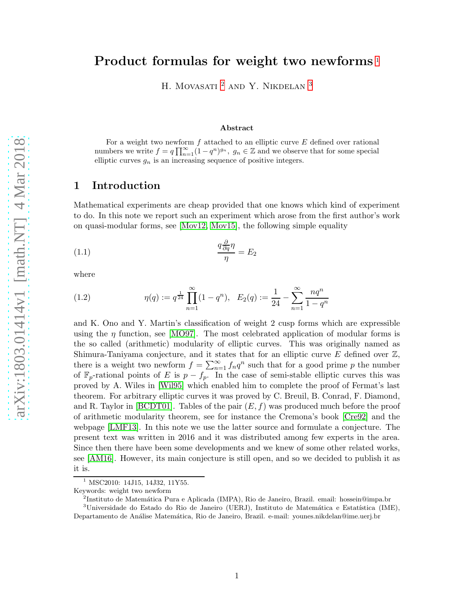# Product formulas for weight two newforms<sup>[1](#page-0-0)</sup>

H. MOVASATI $^2$  $^2$  AND Y. NIKDELAN  $^3$  $^3$ 

#### Abstract

For a weight two newform  $f$  attached to an elliptic curve  $E$  defined over rational numbers we write  $f = q \prod_{n=1}^{\infty} (1 - q^n)^{g_n}$ ,  $g_n \in \mathbb{Z}$  and we observe that for some special elliptic curves  $g_n$  is an increasing sequence of positive integers.

### 1 Introduction

Mathematical experiments are cheap provided that one knows which kind of experiment to do. In this note we report such an experiment which arose from the first author's work on quasi-modular forms, see [\[Mov12,](#page-4-0) [Mov15\]](#page-4-1), the following simple equality

$$
\frac{q\frac{\partial}{\partial q}\eta}{\eta} = E_2
$$

where

(1.2) 
$$
\eta(q) := q^{\frac{1}{24}} \prod_{n=1}^{\infty} (1 - q^n), \quad E_2(q) := \frac{1}{24} - \sum_{n=1}^{\infty} \frac{nq^n}{1 - q^n}
$$

and K. Ono and Y. Martin's classification of weight 2 cusp forms which are expressible using the  $\eta$  function, see [\[MO97\]](#page-4-2). The most celebrated application of modular forms is the so called (arithmetic) modularity of elliptic curves. This was originally named as Shimura-Taniyama conjecture, and it states that for an elliptic curve  $E$  defined over  $\mathbb{Z}$ , there is a weight two newform  $f = \sum_{n=1}^{\infty} f_n q^n$  such that for a good prime p the number of  $\mathbb{F}_p$ -rational points of E is  $p - f_p$ . In the case of semi-stable elliptic curves this was proved by A. Wiles in [\[Wil95\]](#page-4-3) which enabled him to complete the proof of Fermat's last theorem. For arbitrary elliptic curves it was proved by C. Breuil, B. Conrad, F. Diamond, and R. Taylor in [\[BCDT01\]](#page-3-0). Tables of the pair  $(E, f)$  was produced much before the proof of arithmetic modularity theorem, see for instance the Cremona's book [\[Cre92\]](#page-3-1) and the webpage [\[LMF13\]](#page-4-4). In this note we use the latter source and formulate a conjecture. The present text was written in 2016 and it was distributed among few experts in the area. Since then there have been some developments and we knew of some other related works, see [\[AM16\]](#page-3-2). However, its main conjecture is still open, and so we decided to publish it as it is.

<span id="page-0-1"></span><span id="page-0-0"></span><sup>2</sup>Instituto de Matemática Pura e Aplicada (IMPA), Rio de Janeiro, Brazil. email: hossein@impa.br

MSC2010: 14J15, 14J32, 11Y55.

Keywords: weight two newform

<span id="page-0-2"></span> $3$ Universidade do Estado do Rio de Janeiro (UERJ), Instituto de Matemática e Estatística (IME), Departamento de An´alise Matem´atica, Rio de Janeiro, Brazil. e-mail: younes.nikdelan@ime.uerj.br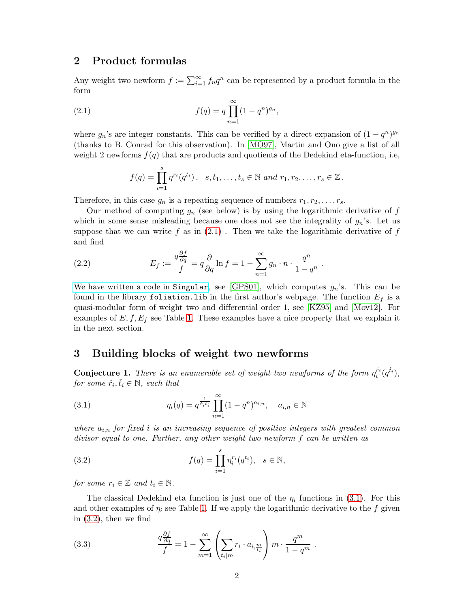## 2 Product formulas

Any weight two newform  $f := \sum_{i=1}^{\infty} f_n q^n$  can be represented by a product formula in the form

(2.1) 
$$
f(q) = q \prod_{n=1}^{\infty} (1 - q^n)^{g_n},
$$

where  $g_n$ 's are integer constants. This can be verified by a direct expansion of  $(1 - q^n)^{g_n}$ (thanks to B. Conrad for this observation). In [\[MO97\]](#page-4-2), Martin and Ono give a list of all weight 2 newforms  $f(q)$  that are products and quotients of the Dedekind eta-function, i.e,

<span id="page-1-0"></span>
$$
f(q) = \prod_{i=1}^{s} \eta^{r_i}(q^{t_i}), \ \ s, t_1, \ldots, t_s \in \mathbb{N} \ and \ r_1, r_2, \ldots, r_s \in \mathbb{Z}.
$$

Therefore, in this case  $g_n$  is a repeating sequence of numbers  $r_1, r_2, \ldots, r_s$ .

Our method of computing  $g_n$  (see below) is by using the logarithmic derivative of f which in some sense misleading because one does not see the integrality of  $g_n$ 's. Let us suppose that we can write f as in  $(2.1)$ . Then we take the logarithmic derivative of f and find

(2.2) 
$$
E_f := \frac{q \frac{\partial f}{\partial q}}{f} = q \frac{\partial}{\partial q} \ln f = 1 - \sum_{n=1}^{\infty} g_n \cdot n \cdot \frac{q^n}{1 - q^n}.
$$

[We have written a code in](http://w3.impa.br/~hossein/WikiHossein/files/Singular%20Codes/2018.02-Singularcode-MovasatiNikdelan-ProductFormula.txt) Singular, see [\[GPS01\]](#page-3-3), which computes  $g_n$ 's. This can be found in the library foliation.lib in the first author's webpage. The function  $E_f$  is a quasi-modular form of weight two and differential order 1, see [\[KZ95\]](#page-3-4) and [\[Mov12\]](#page-4-0). For examples of  $E, f, E_f$  see Table [1.](#page-2-0) These examples have a nice property that we explain it in the next section.

## 3 Building blocks of weight two newforms

<span id="page-1-4"></span>**Conjecture 1.** There is an enumerable set of weight two newforms of the form  $\eta_i^{\tilde{r}_i}(q^{\tilde{t}_i})$ , for some  $\check{r}_i, \check{t}_i \in \mathbb{N}$ , such that

<span id="page-1-1"></span>(3.1) 
$$
\eta_i(q) = q^{\frac{1}{\tilde{r}_i t_i}} \prod_{n=1}^{\infty} (1 - q^n)^{a_{i,n}}, \quad a_{i,n} \in \mathbb{N}
$$

where  $a_{i,n}$  for fixed i is an increasing sequence of positive integers with greatest common divisor equal to one. Further, any other weight two newform f can be written as

<span id="page-1-2"></span>(3.2) 
$$
f(q) = \prod_{i=1}^{s} \eta_i^{r_i}(q^{t_i}), \quad s \in \mathbb{N},
$$

for some  $r_i \in \mathbb{Z}$  and  $t_i \in \mathbb{N}$ .

The classical Dedekind eta function is just one of the  $\eta_i$  functions in [\(3.1\)](#page-1-1). For this and other examples of  $\eta_i$  see Table [1.](#page-2-0) If we apply the logarithmic derivative to the f given in [\(3.2\)](#page-1-2), then we find

<span id="page-1-3"></span>(3.3) 
$$
\frac{q\frac{\partial f}{\partial q}}{f} = 1 - \sum_{m=1}^{\infty} \left( \sum_{t_i \mid m} r_i \cdot a_{i, \frac{m}{t_i}} \right) m \cdot \frac{q^m}{1 - q^m}.
$$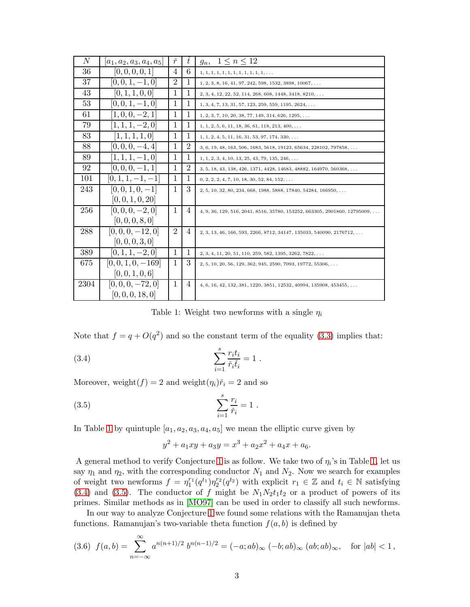| $\,N$ | $ a_1, a_2, a_3, a_4, a_5 $ | ř              | ŧ              | $1 \leq n \leq 12$<br>$g_n$                                                        |
|-------|-----------------------------|----------------|----------------|------------------------------------------------------------------------------------|
| 36    | [0, 0, 0, 0, 1]             | 4              | 6              | $1, 1, 1, 1, 1, 1, 1, 1, 1, 1, 1, 1, 1, \ldots$                                    |
| 37    | $[0, 0, 1, -1, 0]$          | $\overline{2}$ | 1              | $1, 2, 3, 8, 16, 41, 97, 242, 598, 1532, 3898, 10067, \ldots$                      |
| 43    | [0, 1, 1, 0, 0]             | 1              | 1              | $2, 3, 4, 12, 22, 52, 114, 268, 608, 1448, 3418, 8210, \ldots$                     |
| 53    | $[0, 0, 1, -1, 0]$          | 1              | 1              | $1, 3, 4, 7, 13, 31, 57, 123, 259, 559, 1195, 2624, \ldots$                        |
| 61    | $[1,0,0,-2,1]$              | 1              | 1              | $1, 2, 3, 7, 10, 20, 38, 77, 149, 314, 626, 1295, \ldots$                          |
| 79    | $[1, 1, 1, -2, 0]$          | $\mathbf 1$    | 1              | $1, 1, 2, 5, 6, 11, 18, 36, 61, 118, 213, 400, \ldots$                             |
| 83    | [1, 1, 1, 1, 0]             | 1              | 1              | $1, 1, 2, 4, 5, 11, 16, 31, 53, 97, 174, 330, \ldots$                              |
| 88    | $[0, 0, 0, -4, 4]$          | 1              | $\overline{2}$ | $3, 6, 19, 48, 163, 506, 1683, 5618, 19123, 65634, 228102, 797858, \ldots$         |
| 89    | $[1, 1, 1, -1, 0]$          | 1              | 1              | $1, 1, 2, 3, 4, 10, 13, 25, 43, 79, 135, 246, \ldots$                              |
| 92    | $[0, 0, 0, -1, 1]$          | 1              | $\overline{2}$ | $3, 5, 18, 43, 138, 426, 1371, 4428, 14683, 48882, 164970, 560368, \ldots$         |
| 101   | $[0, 1, 1, -1, -1]$         | 1              | 1              | $0, 2, 2, 2, 4, 7, 10, 18, 30, 52, 84, 152, \ldots$                                |
| 243   | $[0, 0, 1, 0, -1]$          | $\mathbf{1}$   | 3              | $2, 5, 10, 32, 80, 234, 668, 1988, 5888, 17840, 54284, 166950, \ldots$             |
|       | [0, 0, 1, 0, 20]            |                |                |                                                                                    |
| 256   | $[0, 0, 0, -2, 0]$          | 1              | 4              | $4, 9, 36, 129, 516, 2041, 8516, 35780, 153252, 663305, 2901860, 12795009, \ldots$ |
|       | [0, 0, 0, 8, 0]             |                |                |                                                                                    |
| 288   | $[0, 0, 0, -12, 0]$         | $\overline{2}$ | 4              | $2, 3, 13, 46, 166, 593, 2266, 8712, 34147, 135033, 540090, 2176712, \ldots$       |
|       | [0, 0, 0, 3, 0]             |                |                |                                                                                    |
| 389   | $[0, 1, 1, -2, 0]$          | 1              | 1              | $2, 3, 4, 11, 20, 51, 110, 259, 582, 1395, 3262, 7822, \ldots$                     |
| 675   | $[0, 0, 1, 0, -169]$        | 1              | 3              | $2, 5, 10, 20, 56, 129, 362, 945, 2590, 7093, 19772, 55306, \ldots$                |
|       | [0, 0, 1, 0, 6]             |                |                |                                                                                    |
| 2304  | $[0, 0, 0, -72, 0]$         | $\mathbf{1}$   | 4              | $4, 6, 16, 42, 132, 381, 1220, 3851, 12532, 40994, 135908, 453455, \ldots$         |
|       | [0, 0, 0, 18, 0]            |                |                |                                                                                    |

<span id="page-2-1"></span><span id="page-2-0"></span>Table 1: Weight two newforms with a single  $\eta_i$ 

Note that  $f = q + O(q^2)$  and so the constant term of the equality (3.3) implies that:

(3.4) 
$$
\sum_{i=1}^{s} \frac{r_i t_i}{\check{r}_i \check{t}_i} = 1
$$

Moreover, weight $(f) = 2$  and weight $(\eta_i)\tilde{r}_i = 2$  and so

(3.5) 
$$
\sum_{i=1}^{s} \frac{r_i}{\check{r}_i} = 1
$$

In Table 1 by quintuple  $[a_1, a_2, a_3, a_4, a_5]$  we mean the elliptic curve given by

<span id="page-2-2"></span>
$$
y^2 + a_1xy + a_3y = x^3 + a_2x^2 + a_4x + a_6.
$$

A general method to verify Conjecture 1 is as follow. We take two of  $\eta_i$ 's in Table 1, let us say  $\eta_1$  and  $\eta_2$ , with the corresponding conductor  $N_1$  and  $N_2$ . Now we search for examples of weight two newforms  $f = \eta_1^{r_1}(q^{t_1})\eta_2^{r_2}(q^{t_2})$  with explicit  $r_1 \in \mathbb{Z}$  and  $t_i \in \mathbb{N}$  satisfying  $(3.4)$  and  $(3.5)$ . The conductor of f might be  $N_1N_2t_1t_2$  or a product of powers of its primes. Similar methods as in [MO97] can be used in order to classify all such newforms.

In our way to analyze Conjecture 1 we found some relations with the Ramanujan theta functions. Ramanujan's two-variable theta function  $f(a, b)$  is defined by

$$
(3.6) \ f(a,b) = \sum_{n=-\infty}^{\infty} a^{n(n+1)/2} b^{n(n-1)/2} = (-a; ab)_{\infty} (-b; ab)_{\infty} (ab; ab)_{\infty}, \text{ for } |ab| < 1,
$$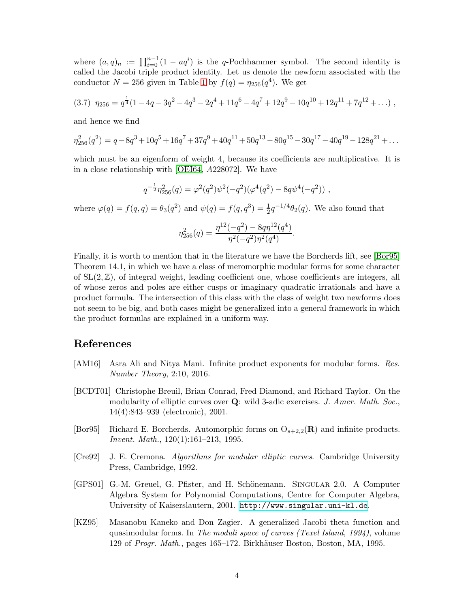where  $(a,q)_n := \prod_{i=0}^{n-1} (1 - aq^i)$  is the q-Pochhammer symbol. The second identity is called the Jacobi triple product identity. Let us denote the newform associated with the conductor  $N = 256$  given in Table [1](#page-2-0) by  $f(q) = \eta_{256}(q^4)$ . We get

$$
(3.7) \ \eta_{256} = q^{\frac{1}{4}}(1 - 4q - 3q^2 - 4q^3 - 2q^4 + 11q^6 - 4q^7 + 12q^9 - 10q^{10} + 12q^{11} + 7q^{12} + \dots),
$$

and hence we find

$$
\eta_{256}^2(q^2) = q - 8q^3 + 10q^5 + 16q^7 + 37q^9 + 40q^{11} + 50q^{13} - 80q^{15} - 30q^{17} - 40q^{19} - 128q^{21} + \dots
$$

which must be an eigenform of weight 4, because its coefficients are multiplicative. It is in a close relationship with [\[OEI64,](#page-4-5) A228072]. We have

$$
q^{-\frac{1}{2}}\eta_{256}^2(q) = \varphi^2(q^2)\psi^2(-q^2)(\varphi^4(q^2) - 8q\psi^4(-q^2)),
$$

where  $\varphi(q) = f(q, q) = \theta_3(q^2)$  and  $\psi(q) = f(q, q^3) = \frac{1}{2}q^{-1/4}\theta_2(q)$ . We also found that

$$
\eta_{256}^2(q) = \frac{\eta^{12}(-q^2) - 8q\eta^{12}(q^4)}{\eta^2(-q^2)\eta^2(q^4)}.
$$

Finally, it is worth to mention that in the literature we have the Borcherds lift, see [\[Bor95\]](#page-3-5) Theorem 14.1, in which we have a class of meromorphic modular forms for some character of  $SL(2,\mathbb{Z})$ , of integral weight, leading coefficient one, whose coefficients are integers, all of whose zeros and poles are either cusps or imaginary quadratic irrationals and have a product formula. The intersection of this class with the class of weight two newforms does not seem to be big, and both cases might be generalized into a general framework in which the product formulas are explained in a uniform way.

## References

- <span id="page-3-2"></span>[AM16] Asra Ali and Nitya Mani. Infinite product exponents for modular forms. Res. Number Theory, 2:10, 2016.
- <span id="page-3-0"></span>[BCDT01] Christophe Breuil, Brian Conrad, Fred Diamond, and Richard Taylor. On the modularity of elliptic curves over  $Q$ : wild 3-adic exercises. J. Amer. Math. Soc., 14(4):843–939 (electronic), 2001.
- <span id="page-3-5"></span>[Bor95] Richard E. Borcherds. Automorphic forms on  $O_{s+2,2}(\mathbf{R})$  and infinite products. Invent. Math., 120(1):161–213, 1995.
- <span id="page-3-1"></span>[Cre92] J. E. Cremona. Algorithms for modular elliptic curves. Cambridge University Press, Cambridge, 1992.
- <span id="page-3-3"></span>[GPS01] G.-M. Greuel, G. Pfister, and H. Schönemann. SINGULAR 2.0. A Computer Algebra System for Polynomial Computations, Centre for Computer Algebra, University of Kaiserslautern, 2001. <http://www.singular.uni-kl.de>.
- <span id="page-3-4"></span>[KZ95] Masanobu Kaneko and Don Zagier. A generalized Jacobi theta function and quasimodular forms. In The moduli space of curves (Texel Island, 1994), volume 129 of Progr. Math., pages 165–172. Birkhäuser Boston, Boston, MA, 1995.